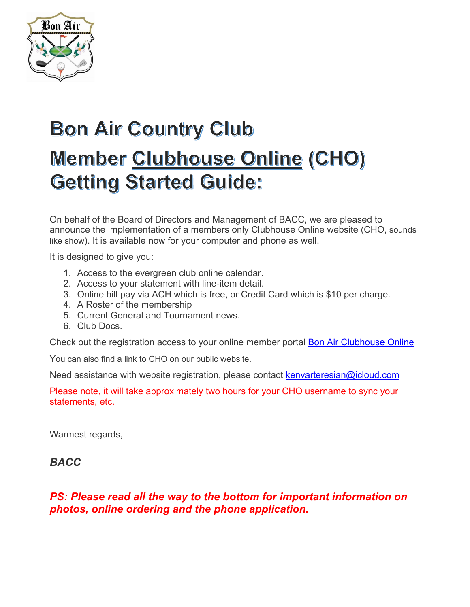

# **Bon Air Country Club** Member Clubhouse Online (CHO) **Getting Started Guide:**

On behalf of the Board of Directors and Management of BACC, we are pleased to announce the implementation of a members only Clubhouse Online website (CHO, sounds like show). It is available now for your computer and phone as well.

It is designed to give you:

- 1. Access to the evergreen club online calendar.
- 2. Access to your statement with line-item detail.
- 3. Online bill pay via ACH which is free, or Credit Card which is \$10 per charge.
- 4. A Roster of the membership
- 5. Current General and Tournament news.
- 6. Club Docs.

Check out the registration access to your online member portal Bon Air Clubhouse Online

You can also find a link to CHO on our public website.

Need assistance with website registration, please contact kenvarteresian@icloud.com

Please note, it will take approximately two hours for your CHO username to sync your statements, etc.

Warmest regards,

### *BACC*

### *PS: Please read all the way to the bottom for important information on photos, online ordering and the phone application.*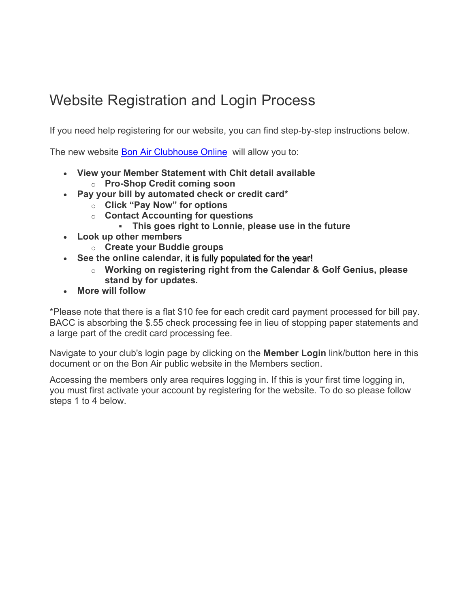# Website Registration and Login Process

If you need help registering for our website, you can find step-by-step instructions below.

The new website Bon Air Clubhouse Online will allow you to:

- **View your Member Statement with Chit detail available**
	- o **Pro-Shop Credit coming soon**
- **Pay your bill by automated check or credit card\***
	- o **Click "Pay Now" for options**
	- o **Contact Accounting for questions**
		- ! **This goes right to Lonnie, please use in the future**
- **Look up other members**
	- o **Create your Buddie groups**
- **See the online calendar,** it is fully populated for the year!
	- o **Working on registering right from the Calendar & Golf Genius, please stand by for updates.**
- **More will follow**

\*Please note that there is a flat \$10 fee for each credit card payment processed for bill pay. BACC is absorbing the \$.55 check processing fee in lieu of stopping paper statements and a large part of the credit card processing fee.

Navigate to your club's login page by clicking on the **Member Login** link/button here in this document or on the Bon Air public website in the Members section.

Accessing the members only area requires logging in. If this is your first time logging in, you must first activate your account by registering for the website. To do so please follow steps 1 to 4 below.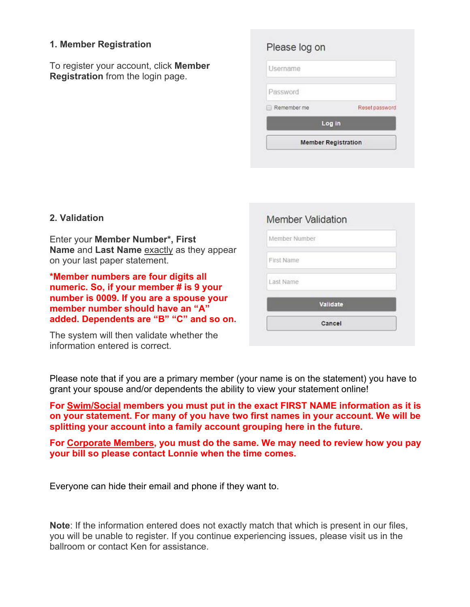### **1. Member Registration**

To register your account, click **Member Registration** from the login page.

| Reset password |
|----------------|
|                |
|                |
|                |

### **2. Validation**

Enter your **Member Number\*, First Name** and **Last Name** exactly as they appear on your last paper statement.

**\*Member numbers are four digits all numeric. So, if your member # is 9 your number is 0009. If you are a spouse your member number should have an "A" added. Dependents are "B" "C" and so on.**

The system will then validate whether the information entered is correct.

# Member Validation Member Number First Name Last Name Validate Cancel

Please note that if you are a primary member (your name is on the statement) you have to grant your spouse and/or dependents the ability to view your statement online!

**For Swim/Social members you must put in the exact FIRST NAME information as it is on your statement. For many of you have two first names in your account. We will be splitting your account into a family account grouping here in the future.**

**For Corporate Members, you must do the same. We may need to review how you pay your bill so please contact Lonnie when the time comes.**

Everyone can hide their email and phone if they want to.

**Note**: If the information entered does not exactly match that which is present in our files, you will be unable to register. If you continue experiencing issues, please visit us in the ballroom or contact Ken for assistance.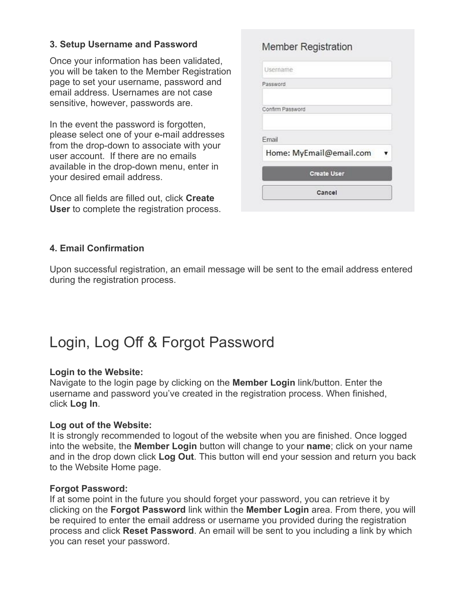### **3. Setup Username and Password**

Once your information has been validated, you will be taken to the Member Registration page to set your username, password and email address. Usernames are not case sensitive, however, passwords are.

In the event the password is forgotten, please select one of your e-mail addresses from the drop-down to associate with your user account. If there are no emails available in the drop-down menu, enter in your desired email address.

Once all fields are filled out, click **Create User** to complete the registration process.

| <b>Member Registration</b> |  |
|----------------------------|--|
| Username                   |  |
| Password                   |  |
| Confirm Password           |  |
| Email                      |  |
| Home: MyEmail@email.com    |  |
| <b>Create User</b>         |  |

Cancel

### **4. Email Confirmation**

Upon successful registration, an email message will be sent to the email address entered during the registration process.

### Login, Log Off & Forgot Password

### **Login to the Website:**

Navigate to the login page by clicking on the **Member Login** link/button. Enter the username and password you've created in the registration process. When finished, click **Log In**.

### **Log out of the Website:**

It is strongly recommended to logout of the website when you are finished. Once logged into the website, the **Member Login** button will change to your **name**; click on your name and in the drop down click **Log Out**. This button will end your session and return you back to the Website Home page.

### **Forgot Password:**

If at some point in the future you should forget your password, you can retrieve it by clicking on the **Forgot Password** link within the **Member Login** area. From there, you will be required to enter the email address or username you provided during the registration process and click **Reset Password**. An email will be sent to you including a link by which you can reset your password.